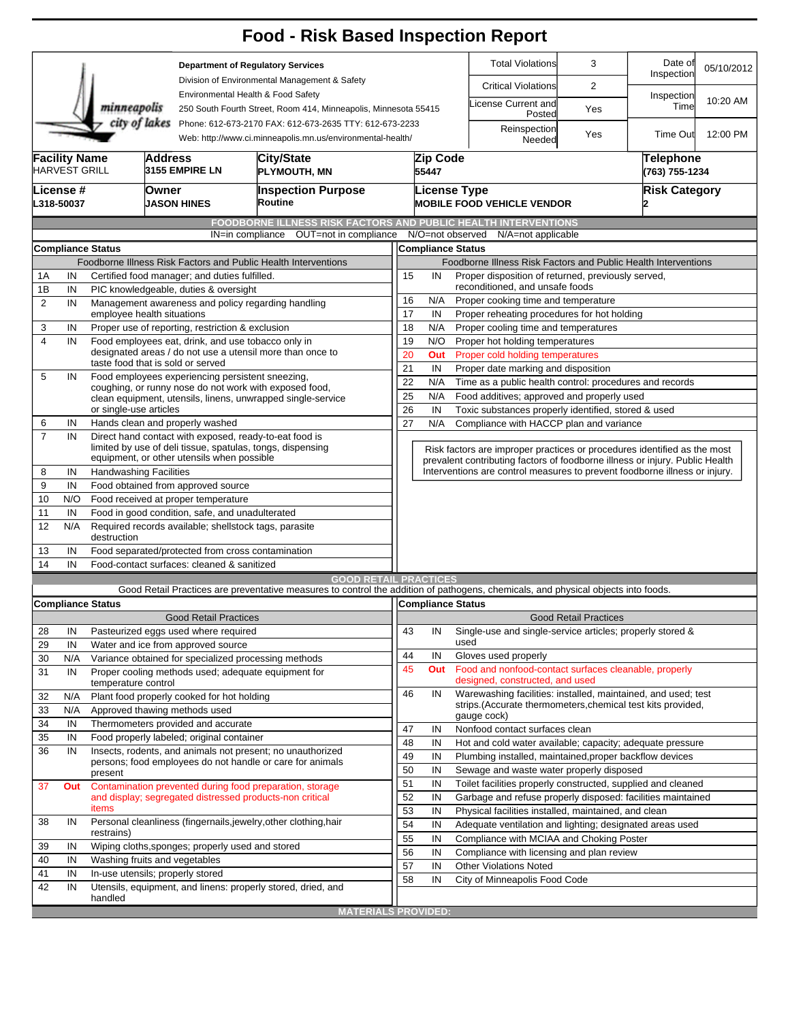|                                       |                                   |         |                                                                                        | <b>Food - Risk Based Inspection Report</b>                                                                                          |          |                          |      |                                                                                                     |                              |                                    |            |
|---------------------------------------|-----------------------------------|---------|----------------------------------------------------------------------------------------|-------------------------------------------------------------------------------------------------------------------------------------|----------|--------------------------|------|-----------------------------------------------------------------------------------------------------|------------------------------|------------------------------------|------------|
|                                       |                                   |         |                                                                                        | <b>Department of Regulatory Services</b>                                                                                            |          |                          |      | <b>Total Violations</b>                                                                             | 3                            | Date of<br>Inspection              | 05/10/2012 |
|                                       |                                   |         |                                                                                        | Division of Environmental Management & Safety                                                                                       |          |                          |      | <b>Critical Violations</b>                                                                          | $\overline{2}$               |                                    |            |
|                                       | minneapolis                       |         |                                                                                        | Environmental Health & Food Safety<br>250 South Fourth Street, Room 414, Minneapolis, Minnesota 55415                               |          |                          |      | License Current and<br>Posted                                                                       | Yes                          | Inspection<br>Time                 | 10:20 AM   |
|                                       |                                   |         |                                                                                        | city of lakes Phone: 612-673-2170 FAX: 612-673-2635 TTY: 612-673-2233<br>Web: http://www.ci.minneapolis.mn.us/environmental-health/ |          |                          |      | Reinspection<br>Needed                                                                              | Yes                          | <b>Time Out</b>                    | 12:00 PM   |
| <b>Facility Name</b><br>HARVEST GRILL |                                   | Address | 3155 EMPIRE LN                                                                         | City/State<br>PLYMOUTH, MN                                                                                                          |          | Zip Code<br>55447        |      |                                                                                                     |                              | <b>Telephone</b><br>(763) 755-1234 |            |
| License #<br>L318-50037               |                                   | lOwner  | <b>JASON HINES</b>                                                                     | <b>Inspection Purpose</b><br>Routine                                                                                                |          | <b>License Type</b>      |      | <b>MOBILE FOOD VEHICLE VENDOR</b>                                                                   |                              | <b>Risk Category</b>               |            |
|                                       |                                   |         |                                                                                        | FOODBORNE ILLNESS RISK FACTORS AND PUBLIC HEALTH INTERVENTIONS<br>OUT=not in compliance<br>IN=in compliance                         |          | N/O=not observed         |      | N/A=not applicable                                                                                  |                              |                                    |            |
| <b>Compliance Status</b>              |                                   |         |                                                                                        |                                                                                                                                     |          | <b>Compliance Status</b> |      |                                                                                                     |                              |                                    |            |
|                                       |                                   |         |                                                                                        | Foodborne Illness Risk Factors and Public Health Interventions                                                                      |          |                          |      | Foodborne Illness Risk Factors and Public Health Interventions                                      |                              |                                    |            |
| 1A<br>IN                              |                                   |         | Certified food manager; and duties fulfilled.                                          |                                                                                                                                     | 15       | IN                       |      | Proper disposition of returned, previously served,                                                  |                              |                                    |            |
| 1B<br>IN                              |                                   |         | PIC knowledgeable, duties & oversight                                                  |                                                                                                                                     |          |                          |      | reconditioned, and unsafe foods                                                                     |                              |                                    |            |
| $\overline{2}$<br>IN                  |                                   |         |                                                                                        | Management awareness and policy regarding handling                                                                                  | 16       | N/A                      |      | Proper cooking time and temperature                                                                 |                              |                                    |            |
| 3<br>IN                               | emplovee health situations        |         | Proper use of reporting, restriction & exclusion                                       |                                                                                                                                     | 17<br>18 | IN<br>N/A                |      | Proper reheating procedures for hot holding<br>Proper cooling time and temperatures                 |                              |                                    |            |
| $\overline{\mathbf{4}}$<br>IN         |                                   |         |                                                                                        | Food employees eat, drink, and use tobacco only in                                                                                  | 19       | N/O                      |      | Proper hot holding temperatures                                                                     |                              |                                    |            |
|                                       |                                   |         |                                                                                        | designated areas / do not use a utensil more than once to                                                                           | 20       | Out                      |      | Proper cold holding temperatures                                                                    |                              |                                    |            |
|                                       | taste food that is sold or served |         |                                                                                        |                                                                                                                                     | 21       | IN                       |      | Proper date marking and disposition                                                                 |                              |                                    |            |
| 5<br>IN                               |                                   |         |                                                                                        | Food employees experiencing persistent sneezing,<br>coughing, or runny nose do not work with exposed food,                          | 22       | N/A                      |      | Time as a public health control: procedures and records                                             |                              |                                    |            |
|                                       |                                   |         |                                                                                        | clean equipment, utensils, linens, unwrapped single-service                                                                         | 25       | N/A                      |      | Food additives; approved and properly used                                                          |                              |                                    |            |
|                                       | or single-use articles            |         |                                                                                        |                                                                                                                                     | 26       | IN                       |      | Toxic substances properly identified, stored & used                                                 |                              |                                    |            |
| 6<br>IN                               |                                   |         | Hands clean and properly washed                                                        |                                                                                                                                     | 27       | N/A                      |      | Compliance with HACCP plan and variance                                                             |                              |                                    |            |
| $\overline{7}$<br>IN                  |                                   |         |                                                                                        | Direct hand contact with exposed, ready-to-eat food is<br>limited by use of deli tissue, spatulas, tongs, dispensing                |          |                          |      | Risk factors are improper practices or procedures identified as the most                            |                              |                                    |            |
|                                       |                                   |         | equipment, or other utensils when possible                                             |                                                                                                                                     |          |                          |      | prevalent contributing factors of foodborne illness or injury. Public Health                        |                              |                                    |            |
| 8<br>IN                               | <b>Handwashing Facilities</b>     |         |                                                                                        |                                                                                                                                     |          |                          |      | Interventions are control measures to prevent foodborne illness or injury.                          |                              |                                    |            |
| 9<br>IN                               |                                   |         | Food obtained from approved source                                                     |                                                                                                                                     |          |                          |      |                                                                                                     |                              |                                    |            |
| 10<br>N/O<br>IN<br>11                 |                                   |         | Food received at proper temperature<br>Food in good condition, safe, and unadulterated |                                                                                                                                     |          |                          |      |                                                                                                     |                              |                                    |            |
| 12<br>N/A                             | destruction                       |         |                                                                                        | Required records available; shellstock tags, parasite                                                                               |          |                          |      |                                                                                                     |                              |                                    |            |
| 13<br>IN                              |                                   |         |                                                                                        | Food separated/protected from cross contamination                                                                                   |          |                          |      |                                                                                                     |                              |                                    |            |
| IN<br>14                              |                                   |         | Food-contact surfaces: cleaned & sanitized                                             |                                                                                                                                     |          |                          |      |                                                                                                     |                              |                                    |            |
|                                       |                                   |         |                                                                                        | <b>GOOD RETAIL PRACTICES</b>                                                                                                        |          |                          |      |                                                                                                     |                              |                                    |            |
|                                       |                                   |         |                                                                                        | Good Retail Practices are preventative measures to control the addition of pathogens, chemicals, and physical objects into foods.   |          |                          |      |                                                                                                     |                              |                                    |            |
| <b>Compliance Status</b>              |                                   |         |                                                                                        |                                                                                                                                     |          | Compliance Status        |      |                                                                                                     |                              |                                    |            |
|                                       |                                   |         | <b>Good Retail Practices</b>                                                           |                                                                                                                                     |          |                          |      |                                                                                                     | <b>Good Retail Practices</b> |                                    |            |
| 28<br>IN                              |                                   |         | Pasteurized eggs used where required                                                   |                                                                                                                                     | 43       | IN                       |      | Single-use and single-service articles; properly stored &                                           |                              |                                    |            |
| 29<br>IN                              |                                   |         | Water and ice from approved source                                                     |                                                                                                                                     |          |                          | used |                                                                                                     |                              |                                    |            |
| N/A<br>30                             |                                   |         |                                                                                        | Variance obtained for specialized processing methods                                                                                | 44       | IN                       |      | Gloves used properly                                                                                |                              |                                    |            |
| 31<br>IN                              | temperature control               |         |                                                                                        | Proper cooling methods used; adequate equipment for                                                                                 | 45       | Out                      |      | Food and nonfood-contact surfaces cleanable, properly<br>designed, constructed, and used            |                              |                                    |            |
| 32<br>N/A                             |                                   |         | Plant food properly cooked for hot holding                                             |                                                                                                                                     | 46       | IN                       |      | Warewashing facilities: installed, maintained, and used; test                                       |                              |                                    |            |
| 33<br>N/A                             |                                   |         | Approved thawing methods used                                                          |                                                                                                                                     |          |                          |      | strips. (Accurate thermometers, chemical test kits provided,                                        |                              |                                    |            |
| 34<br>IN                              |                                   |         | Thermometers provided and accurate                                                     |                                                                                                                                     |          |                          |      | gauge cock)                                                                                         |                              |                                    |            |
| 35<br>IN                              |                                   |         | Food properly labeled; original container                                              |                                                                                                                                     | 47       | IN                       |      | Nonfood contact surfaces clean                                                                      |                              |                                    |            |
| 36<br>IN                              |                                   |         |                                                                                        | Insects, rodents, and animals not present; no unauthorized                                                                          | 48       | IN                       |      | Hot and cold water available; capacity; adequate pressure                                           |                              |                                    |            |
|                                       |                                   |         |                                                                                        | persons; food employees do not handle or care for animals                                                                           | 49<br>50 | IN<br>IN                 |      | Plumbing installed, maintained, proper backflow devices<br>Sewage and waste water properly disposed |                              |                                    |            |
|                                       | present                           |         |                                                                                        |                                                                                                                                     | 51       | IN                       |      | Toilet facilities properly constructed, supplied and cleaned                                        |                              |                                    |            |
| 37<br>Out                             |                                   |         |                                                                                        | Contamination prevented during food preparation, storage<br>and display; segregated distressed products-non critical                | 52       | IN                       |      | Garbage and refuse properly disposed: facilities maintained                                         |                              |                                    |            |
|                                       | items                             |         |                                                                                        |                                                                                                                                     | 53       | IN                       |      | Physical facilities installed, maintained, and clean                                                |                              |                                    |            |
| 38<br>IN                              |                                   |         |                                                                                        | Personal cleanliness (fingernails, jewelry, other clothing, hair                                                                    | 54       | IN                       |      | Adequate ventilation and lighting; designated areas used                                            |                              |                                    |            |
|                                       | restrains)                        |         |                                                                                        |                                                                                                                                     | 55       | IN                       |      | Compliance with MCIAA and Choking Poster                                                            |                              |                                    |            |
| 39<br>IN                              |                                   |         | Wiping cloths, sponges; properly used and stored                                       |                                                                                                                                     | 56       | IN                       |      | Compliance with licensing and plan review                                                           |                              |                                    |            |
| 40<br>IN                              | Washing fruits and vegetables     |         |                                                                                        |                                                                                                                                     | 57       | IN                       |      | <b>Other Violations Noted</b>                                                                       |                              |                                    |            |
| 41<br>IN                              | In-use utensils; properly stored  |         |                                                                                        |                                                                                                                                     | 58       | IN                       |      | City of Minneapolis Food Code                                                                       |                              |                                    |            |
| 42<br>IN                              |                                   |         |                                                                                        | Utensils, equipment, and linens: properly stored, dried, and                                                                        |          |                          |      |                                                                                                     |                              |                                    |            |
|                                       | handled                           |         |                                                                                        | <b>MATERIALS PROVIDED:</b>                                                                                                          |          |                          |      |                                                                                                     |                              |                                    |            |
|                                       |                                   |         |                                                                                        |                                                                                                                                     |          |                          |      |                                                                                                     |                              |                                    |            |